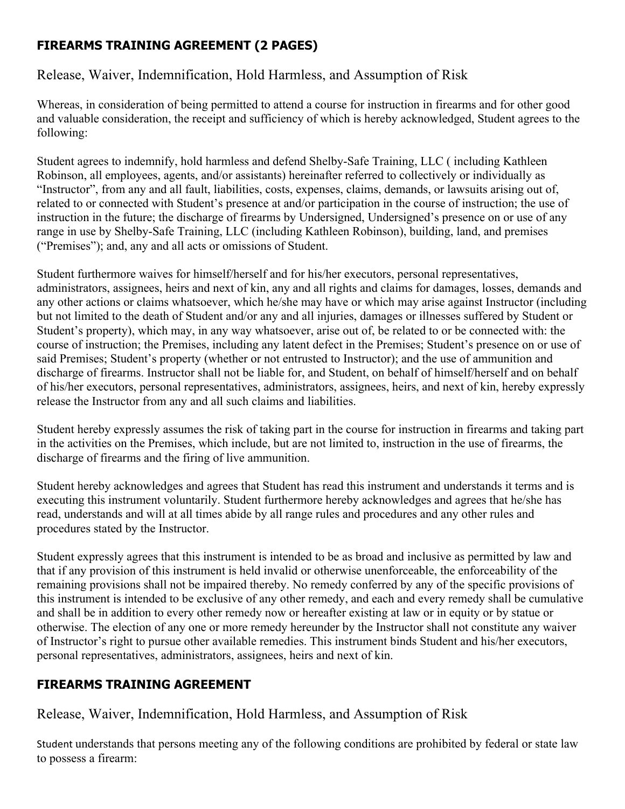## **FIREARMS TRAINING AGREEMENT (2 PAGES)**

## Release, Waiver, Indemnification, Hold Harmless, and Assumption of Risk

Whereas, in consideration of being permitted to attend a course for instruction in firearms and for other good and valuable consideration, the receipt and sufficiency of which is hereby acknowledged, Student agrees to the following:

Student agrees to indemnify, hold harmless and defend Shelby-Safe Training, LLC ( including Kathleen Robinson, all employees, agents, and/or assistants) hereinafter referred to collectively or individually as "Instructor", from any and all fault, liabilities, costs, expenses, claims, demands, or lawsuits arising out of, related to or connected with Student's presence at and/or participation in the course of instruction; the use of instruction in the future; the discharge of firearms by Undersigned, Undersigned's presence on or use of any range in use by Shelby-Safe Training, LLC (including Kathleen Robinson), building, land, and premises ("Premises"); and, any and all acts or omissions of Student.

Student furthermore waives for himself/herself and for his/her executors, personal representatives, administrators, assignees, heirs and next of kin, any and all rights and claims for damages, losses, demands and any other actions or claims whatsoever, which he/she may have or which may arise against Instructor (including but not limited to the death of Student and/or any and all injuries, damages or illnesses suffered by Student or Student's property), which may, in any way whatsoever, arise out of, be related to or be connected with: the course of instruction; the Premises, including any latent defect in the Premises; Student's presence on or use of said Premises; Student's property (whether or not entrusted to Instructor); and the use of ammunition and discharge of firearms. Instructor shall not be liable for, and Student, on behalf of himself/herself and on behalf of his/her executors, personal representatives, administrators, assignees, heirs, and next of kin, hereby expressly release the Instructor from any and all such claims and liabilities.

Student hereby expressly assumes the risk of taking part in the course for instruction in firearms and taking part in the activities on the Premises, which include, but are not limited to, instruction in the use of firearms, the discharge of firearms and the firing of live ammunition.

Student hereby acknowledges and agrees that Student has read this instrument and understands it terms and is executing this instrument voluntarily. Student furthermore hereby acknowledges and agrees that he/she has read, understands and will at all times abide by all range rules and procedures and any other rules and procedures stated by the Instructor.

Student expressly agrees that this instrument is intended to be as broad and inclusive as permitted by law and that if any provision of this instrument is held invalid or otherwise unenforceable, the enforceability of the remaining provisions shall not be impaired thereby. No remedy conferred by any of the specific provisions of this instrument is intended to be exclusive of any other remedy, and each and every remedy shall be cumulative and shall be in addition to every other remedy now or hereafter existing at law or in equity or by statue or otherwise. The election of any one or more remedy hereunder by the Instructor shall not constitute any waiver of Instructor's right to pursue other available remedies. This instrument binds Student and his/her executors, personal representatives, administrators, assignees, heirs and next of kin.

## **FIREARMS TRAINING AGREEMENT**

Release, Waiver, Indemnification, Hold Harmless, and Assumption of Risk

Student understands that persons meeting any of the following conditions are prohibited by federal or state law to possess a firearm: